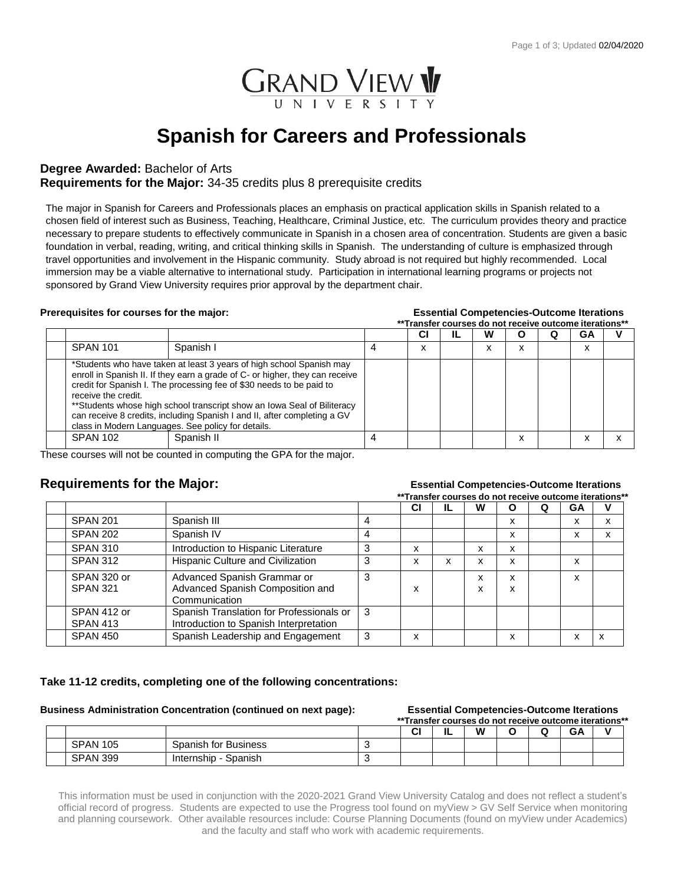

# **Spanish for Careers and Professionals**

# **Degree Awarded:** Bachelor of Arts

# **Requirements for the Major:** 34-35 credits plus 8 prerequisite credits

The major in Spanish for Careers and Professionals places an emphasis on practical application skills in Spanish related to a chosen field of interest such as Business, Teaching, Healthcare, Criminal Justice, etc. The curriculum provides theory and practice necessary to prepare students to effectively communicate in Spanish in a chosen area of concentration. Students are given a basic foundation in verbal, reading, writing, and critical thinking skills in Spanish. The understanding of culture is emphasized through travel opportunities and involvement in the Hispanic community. Study abroad is not required but highly recommended. Local immersion may be a viable alternative to international study. Participation in international learning programs or projects not sponsored by Grand View University requires prior approval by the department chair.

### **Prerequisites for courses for the major: Essential Competencies-Outcome Iterations**

|                     |                                                                                                                                                                                                                                                                                                                                                                                                                                            | **Transfer courses do not receive outcome iterations** |    |   |                      |   |        |  |
|---------------------|--------------------------------------------------------------------------------------------------------------------------------------------------------------------------------------------------------------------------------------------------------------------------------------------------------------------------------------------------------------------------------------------------------------------------------------------|--------------------------------------------------------|----|---|----------------------|---|--------|--|
|                     |                                                                                                                                                                                                                                                                                                                                                                                                                                            | СI                                                     | IL | w | O                    | O | GА     |  |
| <b>SPAN 101</b>     | Spanish I                                                                                                                                                                                                                                                                                                                                                                                                                                  | x                                                      |    | ^ | $\checkmark$<br>ж    |   | v<br>ᄉ |  |
| receive the credit. | *Students who have taken at least 3 years of high school Spanish may<br>enroll in Spanish II. If they earn a grade of C- or higher, they can receive<br>credit for Spanish I. The processing fee of \$30 needs to be paid to<br>** Students whose high school transcript show an Iowa Seal of Biliteracy<br>can receive 8 credits, including Spanish I and II, after completing a GV<br>class in Modern Languages. See policy for details. |                                                        |    |   |                      |   |        |  |
| <b>SPAN 102</b>     | Spanish II                                                                                                                                                                                                                                                                                                                                                                                                                                 |                                                        |    |   | $\cdot$<br>$\lambda$ |   |        |  |

These courses will not be counted in computing the GPA for the major.

### **Requirements for the Major:** *COMPONE* **Essential Competencies-Outcome Iterations \*\*Transfer courses do not receive outcome iterations\*\***

|                                |                                                                                    |   | <u>Hansier Courses up not receive outcome iterations</u> |    |        |        |   |    |   |
|--------------------------------|------------------------------------------------------------------------------------|---|----------------------------------------------------------|----|--------|--------|---|----|---|
|                                |                                                                                    |   | СI                                                       | IL | w      | Ο      | Q | GA | ν |
| <b>SPAN 201</b>                | Spanish III                                                                        | 4 |                                                          |    |        | x      |   | x  | x |
| <b>SPAN 202</b>                | Spanish IV                                                                         |   |                                                          |    |        | x      |   | x  | x |
| <b>SPAN 310</b>                | Introduction to Hispanic Literature                                                | 3 | x                                                        |    | x      | x      |   |    |   |
| <b>SPAN 312</b>                | Hispanic Culture and Civilization                                                  | 3 | x                                                        | x  | x      | x      |   | x  |   |
| SPAN 320 or<br><b>SPAN 321</b> | Advanced Spanish Grammar or<br>Advanced Spanish Composition and<br>Communication   | 3 | x                                                        |    | x<br>x | x<br>x |   | x  |   |
| SPAN 412 or<br><b>SPAN 413</b> | Spanish Translation for Professionals or<br>Introduction to Spanish Interpretation | 3 |                                                          |    |        |        |   |    |   |
| <b>SPAN 450</b>                | Spanish Leadership and Engagement                                                  | 3 | x                                                        |    |        | x      |   | x  | x |

# **Take 11-12 credits, completing one of the following concentrations:**

### **Business Administration Concentration (continued on next page): Essential Competencies-Outcome Iterations**

| **Transfer courses do not receive outcome iterations** |                       |  |    |   |   |  |  |    |   |  |
|--------------------------------------------------------|-----------------------|--|----|---|---|--|--|----|---|--|
|                                                        |                       |  | יי | ╌ | W |  |  | GA | v |  |
| <b>SPAN 105</b>                                        | Spanish for Business  |  |    |   |   |  |  |    |   |  |
| <b>SPAN 399</b>                                        | Internship<br>Spanish |  |    |   |   |  |  |    |   |  |

This information must be used in conjunction with the 2020-2021 Grand View University Catalog and does not reflect a student's official record of progress. Students are expected to use the Progress tool found on myView > GV Self Service when monitoring and planning coursework. Other available resources include: Course Planning Documents (found on myView under Academics) and the faculty and staff who work with academic requirements.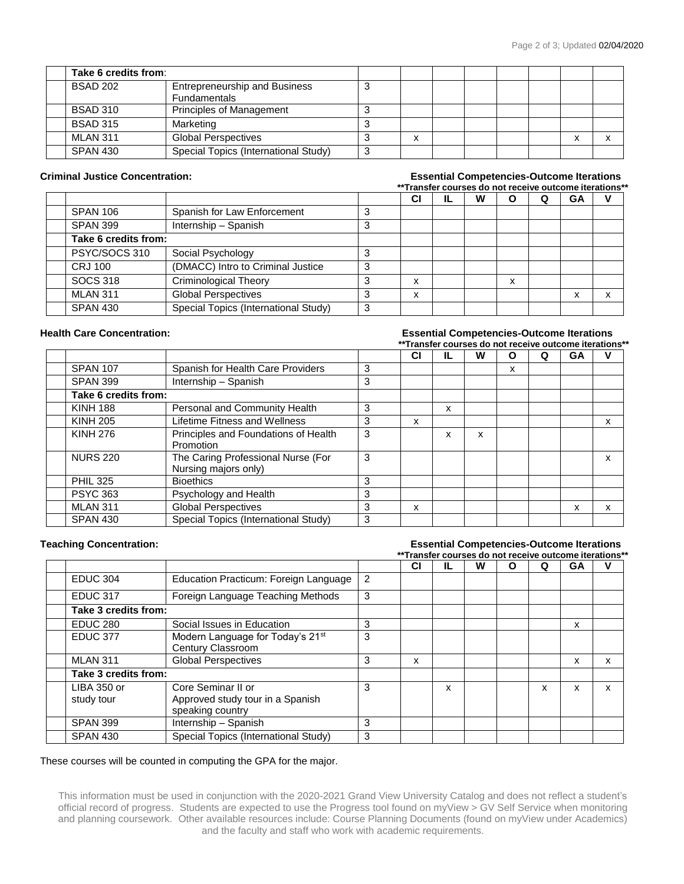| Take 6 credits from: |                                                             |   |  |  |  |
|----------------------|-------------------------------------------------------------|---|--|--|--|
| <b>BSAD 202</b>      | <b>Entrepreneurship and Business</b><br><b>Fundamentals</b> |   |  |  |  |
| <b>BSAD 310</b>      | <b>Principles of Management</b>                             |   |  |  |  |
| <b>BSAD 315</b>      | Marketing                                                   |   |  |  |  |
| <b>MLAN 311</b>      | <b>Global Perspectives</b>                                  | v |  |  |  |
| <b>SPAN 430</b>      | Special Topics (International Study)                        |   |  |  |  |

### **Criminal Justice Concentration: Essential Competencies-Outcome Iterations \*\*Transfer courses do not receive outcome iterations\*\***

|                      |                                      |   | СI     | 1L | W |   | Q | GA |  |
|----------------------|--------------------------------------|---|--------|----|---|---|---|----|--|
| <b>SPAN 106</b>      | Spanish for Law Enforcement          | 3 |        |    |   |   |   |    |  |
| <b>SPAN 399</b>      | Internship - Spanish                 | 3 |        |    |   |   |   |    |  |
| Take 6 credits from: |                                      |   |        |    |   |   |   |    |  |
| PSYC/SOCS 310        | Social Psychology                    |   |        |    |   |   |   |    |  |
| <b>CRJ 100</b>       | (DMACC) Intro to Criminal Justice    | 3 |        |    |   |   |   |    |  |
| <b>SOCS 318</b>      | <b>Criminological Theory</b>         |   | v<br>⋏ |    |   | x |   |    |  |
| <b>MLAN 311</b>      | <b>Global Perspectives</b>           |   | v<br>ᄉ |    |   |   |   | X  |  |
| <b>SPAN 430</b>      | Special Topics (International Study) | 3 |        |    |   |   |   |    |  |

### **Health Care Concentration: Essential Competencies-Outcome Iterations**

### **\*\*Transfer courses do not receive outcome iterations\*\* CI IL W O Q GA V** SPAN 107 Spanish for Health Care Providers 3 | | | | | x SPAN 399 Internship – Spanish 3 **Take 6 credits from:** KINH 188 | Personal and Community Health | 3 | | x KINH 205 Lifetime Fitness and Wellness 3 x x KINH 276 | Principles and Foundations of Health Promotion 3 | x | x NURS 220 The Caring Professional Nurse (For Nursing majors only) 3 x PHIL 325 Bioethics 3 PSYC 363 Psychology and Health 3 MLAN 311 Global Perspectives 3 x x x SPAN 430 | Special Topics (International Study) | 3

# **Teaching Concentration: Essential Competencies-Outcome Iterations**

|                           |                                                                            |                | ** Transfer courses do not receive outcome iterations** |    |   |   |   |    |   |
|---------------------------|----------------------------------------------------------------------------|----------------|---------------------------------------------------------|----|---|---|---|----|---|
|                           |                                                                            |                | СI                                                      | IL | W | O | Ω | GA | v |
| <b>EDUC 304</b>           | Education Practicum: Foreign Language                                      | $\overline{2}$ |                                                         |    |   |   |   |    |   |
| <b>EDUC 317</b>           | Foreign Language Teaching Methods                                          | 3              |                                                         |    |   |   |   |    |   |
| Take 3 credits from:      |                                                                            |                |                                                         |    |   |   |   |    |   |
| <b>EDUC 280</b>           | Social Issues in Education                                                 | 3              |                                                         |    |   |   |   | x  |   |
| <b>EDUC 377</b>           | Modern Language for Today's 21 <sup>st</sup><br>Century Classroom          | 3              |                                                         |    |   |   |   |    |   |
| <b>MLAN 311</b>           | <b>Global Perspectives</b>                                                 | 3              | x                                                       |    |   |   |   | x  | x |
| Take 3 credits from:      |                                                                            |                |                                                         |    |   |   |   |    |   |
| LIBA 350 or<br>study tour | Core Seminar II or<br>Approved study tour in a Spanish<br>speaking country | 3              |                                                         | x  |   |   | x | X  | x |
| <b>SPAN 399</b>           | Internship - Spanish                                                       | 3              |                                                         |    |   |   |   |    |   |
| <b>SPAN 430</b>           | Special Topics (International Study)                                       | 3              |                                                         |    |   |   |   |    |   |

### These courses will be counted in computing the GPA for the major.

This information must be used in conjunction with the 2020-2021 Grand View University Catalog and does not reflect a student's official record of progress. Students are expected to use the Progress tool found on myView > GV Self Service when monitoring and planning coursework. Other available resources include: Course Planning Documents (found on myView under Academics) and the faculty and staff who work with academic requirements.